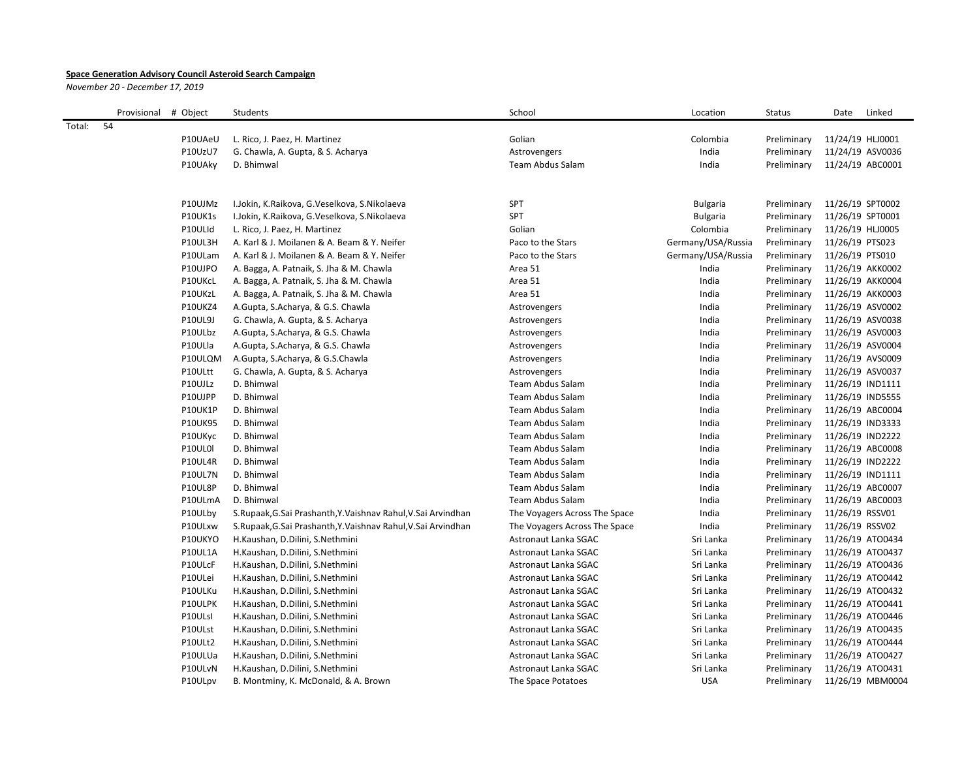## **Space Generation Advisory Council Asteroid Search Campaign**

*November 20 - December 17, 2019*

|        | Provisional | # Object       | Students                                                     | School                        | Location           | <b>Status</b> | Date<br>Linked   |
|--------|-------------|----------------|--------------------------------------------------------------|-------------------------------|--------------------|---------------|------------------|
| Total: | 54          |                |                                                              |                               |                    |               |                  |
|        |             | P10UAeU        | L. Rico, J. Paez, H. Martinez                                | Golian                        | Colombia           | Preliminary   | 11/24/19 HLJ0001 |
|        |             | P10UzU7        | G. Chawla, A. Gupta, & S. Acharya                            | Astrovengers                  | India              | Preliminary   | 11/24/19 ASV0036 |
|        |             | P10UAky        | D. Bhimwal                                                   | Team Abdus Salam              | India              | Preliminary   | 11/24/19 ABC0001 |
|        |             |                |                                                              |                               |                    |               |                  |
|        |             |                |                                                              |                               |                    |               |                  |
|        |             | P10UJMz        | I.Jokin, K.Raikova, G.Veselkova, S.Nikolaeva                 | SPT                           | <b>Bulgaria</b>    | Preliminary   | 11/26/19 SPT0002 |
|        |             | P10UK1s        | I.Jokin, K.Raikova, G.Veselkova, S.Nikolaeva                 | <b>SPT</b>                    | <b>Bulgaria</b>    | Preliminary   | 11/26/19 SPT0001 |
|        |             | P10ULId        | L. Rico, J. Paez, H. Martinez                                | Golian                        | Colombia           | Preliminary   | 11/26/19 HLJ0005 |
|        |             | P10UL3H        | A. Karl & J. Moilanen & A. Beam & Y. Neifer                  | Paco to the Stars             | Germany/USA/Russia | Preliminary   | 11/26/19 PTS023  |
|        |             | P10ULam        | A. Karl & J. Moilanen & A. Beam & Y. Neifer                  | Paco to the Stars             | Germany/USA/Russia | Preliminary   | 11/26/19 PTS010  |
|        |             | P10UJPO        | A. Bagga, A. Patnaik, S. Jha & M. Chawla                     | Area 51                       | India              | Preliminary   | 11/26/19 AKK0002 |
|        |             | P10UKcL        | A. Bagga, A. Patnaik, S. Jha & M. Chawla                     | Area 51                       | India              | Preliminary   | 11/26/19 AKK0004 |
|        |             | P10UKzL        | A. Bagga, A. Patnaik, S. Jha & M. Chawla                     | Area 51                       | India              | Preliminary   | 11/26/19 AKK0003 |
|        |             | P10UKZ4        | A.Gupta, S.Acharya, & G.S. Chawla                            | Astrovengers                  | India              | Preliminary   | 11/26/19 ASV0002 |
|        |             | P10UL9J        | G. Chawla, A. Gupta, & S. Acharya                            | Astrovengers                  | India              | Preliminary   | 11/26/19 ASV0038 |
|        |             | P10ULbz        | A.Gupta, S.Acharya, & G.S. Chawla                            | Astrovengers                  | India              | Preliminary   | 11/26/19 ASV0003 |
|        |             | P10ULla        | A.Gupta, S.Acharya, & G.S. Chawla                            | Astrovengers                  | India              | Preliminary   | 11/26/19 ASV0004 |
|        |             | P10ULQM        | A.Gupta, S.Acharya, & G.S.Chawla                             | Astrovengers                  | India              | Preliminary   | 11/26/19 AVS0009 |
|        |             | P10ULtt        | G. Chawla, A. Gupta, & S. Acharya                            | Astrovengers                  | India              | Preliminary   | 11/26/19 ASV0037 |
|        |             | P10UJLz        | D. Bhimwal                                                   | <b>Team Abdus Salam</b>       | India              | Preliminary   | 11/26/19 IND1111 |
|        |             | P10UJPP        | D. Bhimwal                                                   | Team Abdus Salam              | India              | Preliminary   | 11/26/19 IND5555 |
|        |             | P10UK1P        | D. Bhimwal                                                   | Team Abdus Salam              | India              | Preliminary   | 11/26/19 ABC0004 |
|        |             | <b>P10UK95</b> | D. Bhimwal                                                   | <b>Team Abdus Salam</b>       | India              | Preliminary   | 11/26/19 IND3333 |
|        |             | P10UKyc        | D. Bhimwal                                                   | Team Abdus Salam              | India              | Preliminary   | 11/26/19 IND2222 |
|        |             | P10UL0I        | D. Bhimwal                                                   | Team Abdus Salam              | India              | Preliminary   | 11/26/19 ABC0008 |
|        |             | P10UL4R        | D. Bhimwal                                                   | <b>Team Abdus Salam</b>       | India              | Preliminary   | 11/26/19 IND2222 |
|        |             | P10UL7N        | D. Bhimwal                                                   | Team Abdus Salam              | India              | Preliminary   | 11/26/19 IND1111 |
|        |             | P10UL8P        | D. Bhimwal                                                   | Team Abdus Salam              | India              | Preliminary   | 11/26/19 ABC0007 |
|        |             | P10ULmA        | D. Bhimwal                                                   | Team Abdus Salam              | India              | Preliminary   | 11/26/19 ABC0003 |
|        |             | P10ULby        | S.Rupaak, G.Sai Prashanth, Y.Vaishnav Rahul, V.Sai Arvindhan | The Voyagers Across The Space | India              | Preliminary   | 11/26/19 RSSV01  |
|        |             | P10ULxw        | S.Rupaak, G.Sai Prashanth, Y.Vaishnav Rahul, V.Sai Arvindhan | The Voyagers Across The Space | India              | Preliminary   | 11/26/19 RSSV02  |
|        |             | P10UKYO        | H.Kaushan, D.Dilini, S.Nethmini                              | Astronaut Lanka SGAC          | Sri Lanka          | Preliminary   | 11/26/19 ATO0434 |
|        |             | P10UL1A        | H.Kaushan, D.Dilini, S.Nethmini                              | Astronaut Lanka SGAC          | Sri Lanka          | Preliminary   | 11/26/19 ATO0437 |
|        |             | P10ULcF        | H.Kaushan, D.Dilini, S.Nethmini                              | Astronaut Lanka SGAC          | Sri Lanka          | Preliminary   | 11/26/19 ATO0436 |
|        |             | P10ULei        | H.Kaushan, D.Dilini, S.Nethmini                              | Astronaut Lanka SGAC          | Sri Lanka          | Preliminary   | 11/26/19 ATO0442 |
|        |             | P10ULKu        | H.Kaushan, D.Dilini, S.Nethmini                              | Astronaut Lanka SGAC          | Sri Lanka          | Preliminary   | 11/26/19 ATO0432 |
|        |             | P10ULPK        | H.Kaushan, D.Dilini, S.Nethmini                              | Astronaut Lanka SGAC          | Sri Lanka          | Preliminary   | 11/26/19 ATO0441 |
|        |             | P10ULsI        | H.Kaushan, D.Dilini, S.Nethmini                              | Astronaut Lanka SGAC          | Sri Lanka          | Preliminary   | 11/26/19 ATO0446 |
|        |             | P10ULst        | H.Kaushan, D.Dilini, S.Nethmini                              | Astronaut Lanka SGAC          | Sri Lanka          | Preliminary   | 11/26/19 ATO0435 |
|        |             | P10ULt2        | H.Kaushan, D.Dilini, S.Nethmini                              | Astronaut Lanka SGAC          | Sri Lanka          | Preliminary   | 11/26/19 ATO0444 |
|        |             | P10ULUa        | H.Kaushan, D.Dilini, S.Nethmini                              | Astronaut Lanka SGAC          | Sri Lanka          | Preliminary   | 11/26/19 ATO0427 |
|        |             | P10ULvN        | H.Kaushan, D.Dilini, S.Nethmini                              | Astronaut Lanka SGAC          | Sri Lanka          | Preliminary   | 11/26/19 ATO0431 |
|        |             | P10ULpv        | B. Montminy, K. McDonald, & A. Brown                         | The Space Potatoes            | <b>USA</b>         | Preliminary   | 11/26/19 MBM0004 |